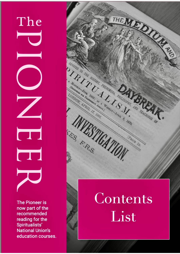The T

**The Pioneer is** now part of the recommended reading for the Spiritualists' **National Union's** education courses.

# THE MEDICINE DESIGNED THE HISTORY, PHINORESIA, PHILOSOPHY, AND TEACHINGS OF PIRITURISM. A Montant Joseph Letter Annual Mercian Avenue & 1870. FES F.R.S. RICE ID Contents

## List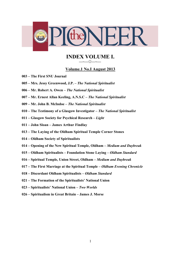

#### **INDEX VOLUME I.** *—~—☼—~—*

#### **Volume.1 No.I August 2013**

- **003 – The First SNU Journal**
- **005 – Mrs. Jessy Greenwood, J.P. –** *The National Spiritualist*
- **006 – Mr. Robert A. Owen –** *The National Spiritualist*
- **007 – Mr. Ernest Allan Keeling, A.N.S.C –** *The National Spiritualist*
- **009 – Mr. John B. McIndoe –** *The National Spiritualist*
- **010 – The Testimony of a Glasgow Investigator –** *The National Spiritualist*
- **011 – Glasgow Society for Psychical Research –** *Light*
- **011 – John Sloan – James Arthur Findlay**
- **013 – The Laying of the Oldham Spiritual Temple Corner Stones**
- **014 – Oldham Society of Spiritualists**
- **014 – Opening of the New Spiritual Temple, Oldham –** *Medium and Daybreak*
- **015 – Oldham Spiritualists – Foundation Stone Laying –** *Oldham Standard*
- **016 – Spiritual Temple, Union Street, Oldham –** *Medium and Daybreak*
- **017 – The First Marriage at the Spiritual Temple –** *Oldham Evening Chronicle*
- **018 – Discordant Oldham Spiritualists –** *Oldham Standard*
- **021 – The Formation of the Spiritualists' National Union**
- **023 – Spiritualists' National Union –** *Two Worlds*
- **026 – Spiritualism in Great Britain – James J. Morse**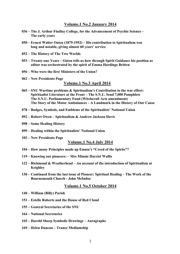#### **Volume.1 No.2 January 2014**

- **036 – The J. Arthur Findlay College, for the Advancement of Psychic Science – The early years**
- **050 – Ernest Walter Oaten (1875-1952) – His contribution to Spiritualism was long and notable, giving almost 60 years' service**
- **052 – The History of The Two Worlds**
- **053 – Twenty-one Years – Oaten tells us how through Spirit Guidance his position as editor was orchestrated by the spirit of Emma Hardinge Britten**
- **056 – Who were the first Ministers of the Union?**
- **062 – New Presidents Page**

#### **Volume.1 No.3 April 2014**

- **065 – SNU Wartime problems & Spiritualism's Contribution to the war effort: Spiritualist Literature at the Front – The S.N.U. Send 7,000 Pamphlets The S.N.U. Parliamentary Fund (Witchcraft Acts amendment) The Story of the Motor Ambulances – A Landmark in the History of Our Cause**
- **078 – Badges, Symbols, and Emblems of the Spiritualists' National Union**
- **092 – Robert Owen – Spiritualism & Andrew Jackson Davis**
- **098 – Some Healing History**
- **099 – Healing within the Spiritualists' National Union**
- **102 – New Presidents Page**

#### **Volume.1 No.4 July 2014**

- **104 – How many Principles made up Emma's "Creed of the Spirits"?**
- **119 – Knowing our pioneers: – Mrs Minnie Harriet Wallis**
- **122 – Richmond & Weatherhead – An account of the introduction of Spiritualism at Keighley**
- **130 – Continued from the last issue of Pioneer: Spiritual Healing – The Work of the Bournemouth Church - John McIndoe**

#### **Volume.1 No.5 October 2014**

- **140 – William (Billy) Parish**
- **151 – Estelle Roberts and the House of Red Cloud**
- **155 – General Secretaries of the SNU**
- **164 – National Secretaries**
- **165 – Harold Sharp Symbolic Drawings – Auragraphs**
- **169 – Helen Duncan – Trance Mediumship**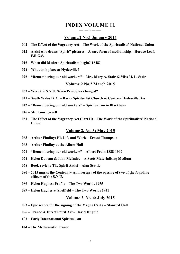#### **INDEX VOLUME II.** *—~—☼—~—*

#### **Volume.2 No.1 January 2014**

- **002 – The Effect of the Vagrancy Act – The Work of the Spiritualists' National Union**
- **012 – Artist who draws "Spirit" pictures – A rare form of mediumship – Horace Leaf, F.R.G.S.**
- **016 – When did Modern Spiritualism begin? 1848?**
- **024 – What took place at Hydesville?**
- **026 – "Remembering our old workers" – Mrs. Mary A. Stair & Miss M. L. Stair**

#### **Volume.2 No.2 March 2015**

- **033 – Were the S.N.U. Seven Principles changed?**
- **041 – South Wales D. C. – Barry Spiritualist Church & Centre – Hydesville Day**
- **042 – "Remembering our old workers" – Spiritualism in Blackburn**
- **046 – Mr. Tom Tyrrell**
- **051 – The Effect of the Vagrancy Act (Part II) – The Work of the Spiritualists' National Union**

#### **Volume 2. No. 3: May 2015**

- **063 – Arthur Findlay: His Life and Work – Ernest Thompson**
- **068 – Arthur Findlay at the Albert Hall**
- **071 – "Remembering our old workers" – Albert Fruin 1888-1969**
- **074 – Helen Duncan & John McIndoe – A Scots Materialising Medium**
- **078 – Book review: The Spirit Artist – Alan Stuttle**
- **080 – 2015 marks the Centenary Anniversary of the passing of two of the founding officers of the S.N.U.**
- **086 – Helen Hughes: Profile – The Two Worlds 1955**
- **089 – Helen Hughes at Sheffield – The Two Worlds 1941**

#### **Volume 2. No. 4: July 2015**

- **093 – Epic scenes for the signing of the Magna Carta – Stansted Hall**
- **096 – Trance & Direct Spirit Art – David Duguid**
- **102 – Early International Spiritualism**
- **104 – The Mediumistic Trance**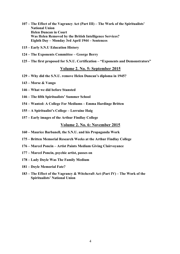- **107 – The Effect of the Vagrancy Act (Part III) – The Work of the Spiritualists' National Union Helen Duncan in Court Was Helen Removed by the British Intelligence Services? Eighth Day – Monday 3rd April 1944 – Sentences**
- **115 – Early S.N.U Education History**
- **124 – The Exponents Committee – George Berry**
- **125 – The first proposed for S.N.U. Certification – "Exponents and Demonstrators"**

#### **Volume 2. No. 5: September 2015**

- **129 – Why did the S.N.U. remove Helen Duncan's diploma in 1945?**
- **143 – Morse & Vango**
- **146 – What we did before Stansted**
- **146 – The fifth Spiritualists' Summer School**
- **154 – Wanted: A College For Mediums – Emma Hardinge Britten**
- **155 – A Spiritualist's College – Lorraine Haig**
- **157 – Early images of the Arthur Findlay College**

#### **Volume 2. No. 6: November 2015**

- **160 – Maurice Barbanell, the S.N.U. and his Propaganda Work**
- **175 – Britten Memorial Research Weeks at the Arthur Findlay College**
- **176 – Marcel Poncin – Artist Paints Medium Giving Clairvoyance**
- **177 – Marcel Poncin, psychic artist, passes on**
- **178 – Lady Doyle Was The Family Medium**
- **181 – Doyle Memorial Fate?**
- **183 – The Effect of the Vagrancy & Witchcraft Act (Part IV) – The Work of the Spiritualists' National Union**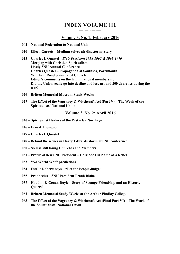#### **INDEX VOLUME III.** *—~—☼—~—*

#### **Volume 3. No. 1: February 2016**

- **002 – National Federation to National Union**
- **010 – Eileen Garrett – Medium solves air disaster mystery**
- **015 – Charles I. Quastel –** *SNU President 1958-1965 & 1968-1970*  **Merging with Christian Spiritualism Lively SNU Annual Conference Charles Quastel – Propaganda at Southsea, Portsmouth Whitham Road Spiritualist Church Editor's comments on the fall in national membership: Did the Union really go into decline and lose around 200 churches during the war?**
- **026 – Britten Memorial Museum Study Weeks**
- **027 – The Effect of the Vagrancy & Witchcraft Act (Part V) – The Work of the Spiritualists' National Union**

#### **Volume 3. No. 2: April 2016**

- **040 – Spiritualist Healers of the Past – Isa Northage**
- **046 – Ernest Thompson**
- **047 – Charles I. Quastel**
- **048 – Behind the scenes in Harry Edwards storm at SNU conference**
- **050 – SNU is still losing Churches and Members**
- **051 – Profile of new SNU President** *–* **He Made His Name as a Rebel**
- **053 – "No World War" predictions**
- **054 – Estelle Roberts says – "Let the People Judge"**
- **055 – Prophecies – SNU President Frank Blake**
- **057 – Houdini & Conan Doyle – Story of Strange Friendship and an Historic Quarrel**
- **062 – Britten Memorial Study Weeks at the Arthur Findlay College**
- **063 – The Effect of the Vagrancy & Witchcraft Act (Final Part VI) – The Work of the Spiritualists' National Union**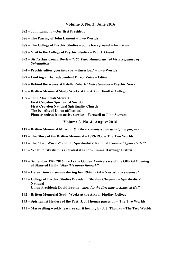#### **Volume 3. No. 3: June 2016**

- **– John Lamont – Our first President**
- **– The Passing of John Lamont – Two Worlds**
- **– The College of Psychic Studies – Some background information**
- **– Visit to the College of Psychic Studies – Paul J. Gaunt**
- **– Sir Arthur Conan Doyle –** *"100 Years Anniversary of his Acceptance of Spiritualism"*
- **– Psychic editor goes into the 'witness box' – Two Worlds**
- **– Looking at the Independent Direct Voice – Editor**
- **– Behind the scenes at Estelle Roberts' Voice Seances – Psychic News**
- **– Britten Memorial Study Weeks at the Arthur Findlay College**
- **– John Macintosh Stewart First Croydon Spiritualist Society First Croydon National Spiritualist Church The benefits of Union affiliation! Pioneer retires from active service – Farewell to John Stewart**

#### **Volume 3. No. 4: August 2016**

- **– Britten Memorial Museum & Library –** *enters into its original purpose*
- **– The Story of the Britten Memorial – 1899-1933 – The Two Worlds**
- **– The "Two Worlds" and the Spiritualists' National Union –** *"Again Unite!"*
- **– What Spiritualism is and what it is not – Emma Hardinge Britten**
- **127 – September 17th 2016 marks the Golden Anniversary of the Official Opening of Stansted Hall –** *"May this house flourish"*
- **– Helen Duncan séance during her 1944 Trial –** *New séance evidence!*
- **– College of Psychic Studies President: Stephen Chapman – Spiritualists' National Union President: David Bruton -** *meet for the first time at Stansted Hall*
- **– Britten Memorial Study Weeks at the Arthur Findlay College**
- **– Spiritualist Healers of the Past: J. J. Thomas passes on – The Two Worlds**
- **– Mass-selling weekly features spirit healing by J. J. Thomas – The Two Worlds**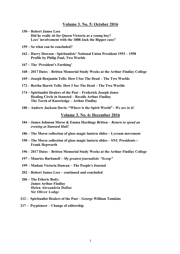#### **Volume 3. No. 5: October 2016**

- **150 – Robert James Lees Did he really sit for Queen Victoria as a young boy? Lees' involvement with the 1888 Jack the Ripper case?**
- **159 – So what can be concluded?**
- **162 – Harry Dawson - Spiritualists' National Union President 1953 – 1958 Profile by Philip Paul, Two Worlds**
- **167 – The 'President's Farthing'**
- **168 – 2017 Dates – Britten Memorial Study Weeks at the Arthur Findlay College**
- **169 – Joseph Benjamin Tells: How I See The Dead – The Two Worlds**
- **172 – Bertha Harris Tells: How I See The Dead – The Two Worlds**
- **174 – Spiritualist Healers of the Past – Frederick Joseph Jones Healing Circle in Stansted – Recalls Arthur Findlay The Torch of Knowledge – Arthur Findlay**
- **180 – Andrew Jackson Davis: "Where is the Spirit World" -** *We are in it!*

#### **Volume 3. No. 6: December 2016**

- **184 – James Johnson Morse & Emma Hardinge Britten –** *Return to spend an evening at Stansted Hall!*
- **186 – The Morse collection of glass magic lantern slides – Lyceum movement**
- **190 – The Morse collection of glass magic lantern slides – SNU Presidents – Frank Hepworth**
- **196 – 2017 Dates – Britten Memorial Study Weeks at the Arthur Findlay College**
- **197 – Maurice Barbanell –** *My greatest journalistic "Scoop"*
- **199 – Madam Victoria Duncan – The People's Journal**
- **202 – Robert James Lees – continued and concluded**
- **206 – The Etheric Body: James Arthur Findlay Helen Alexandria Dallas Sir Oliver Lodge**
- **212 – Spiritualist Healers of the Past – George William Tomkins**
- **217 – Psypioneer – Change of editorship**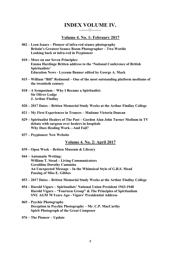#### **INDEX VOLUME IV.** *—~—☼—~—*

#### **Volume 4. No. 1: February 2017**

- **002 – Leon Isaacs – Pioneer of infra-red séance photography Britain's Greatest Seance Room Photographer – Two Worlds Looking back at infra-red in Psypioneer**
- **010 – More on our Seven Principles: Emma Hardinge Britten address to the 'National Conference of British Spiritualists' Education News - Lyceum Banner edited by George A. Mack**
- **015 – William "Bill" Redmond – One of the most outstanding platform mediums of the twentieth century**
- **018 – A Symposium – Why I Became a Spiritualist: Sir Oliver Lodge J. Arthur Findlay**
- **020 – 2017 Dates – Britten Memorial Study Weeks at the Arthur Findlay College**
- **021 – My First Experiences in Trances – Madame Victoria Duncan**
- **029 – Spiritualist Healers of The Past – Gordon Alan John Turner Medium in TV debate with surgeon over healers in hospitals Why Does Healing Work—And Fail?**
- **037 – Psypioneer New Website**

#### **Volume 4. No. 2: April 2017**

- **039 – Open Week – Britten Museum & Library**
- **044 – Automatic Writing: William T. Stead – Living Communicators Geraldine Dorothy Cummins An Unexpected Message – In the Whimsical Style of G.R.S. Mead Passing of Miss E. Gibbes**
- **053 – 2017 Dates – Britten Memorial Study Weeks at the Arthur Findlay College**
- **054 – Harold Vigurs – Spiritualists' National Union President 1943-1948 Harold Vigurs – "Fourteen Group" & The Principles of Spiritualism SNU AGM 70 Years Ago - Vigurs' Presidential Address**
- **065 – Psychic Photography Deception in Psychic Photography – Mr. C.P. MacCarthy Spirit Photograph of the Great Composer**
- **076 – The Pioneer – Update**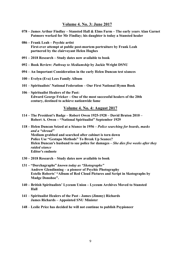#### **Volume 4. No. 3: June 2017**

- **078 – James Arthur Findlay – Stansted Hall & Elms Farm – The early years Alan Garnet Patmore worked for Mr Findlay; his daughter is today a Stansted healer**
- **086 – Frank Leah – Psychic artist First-ever attempt at public post-mortem portraiture by Frank Leah partnered by the clairvoyant Helen Hughes**
- **091 – 2018 Research – Study dates now available to book**
- **092 – Book Review:** *Pathway to Mediumship* **by Jackie Wright DSNU**
- **094 – An Important Consideration in the early Helen Duncan test séances**
- **100 – Evelyn (Eva) Lees Family Album**
- **101 Spiritualists' National Federation – Our First National Hymn Book**
- **106 Spiritualist Healers of the Past: Edward George Fricker – One of the most successful healers of the 20th century, destined to achieve nationwide fame**

#### **Volume 4. No. 4: August 2017**

- **114 – The President's Badge – Robert Owen 1925-1928 – David Bruton 2010 – Robert A. Owen – "National Spiritualist" September 1929**
- **118 – Helen Duncan Seized at a Séance in 1956 –** *Police searching for beards, masks and a "shroud"*  **Medium grabbed and searched after cabinet is torn down Police Use "Gestapo Methods" To Break Up Seance? Helen Duncan's husband to sue police for damages –** *She dies five weeks after they*  *raided séance* **Editor's endnote**
- **130 – 2018 Research – Study dates now available to book**
- **131 – "Dorchagraphs"** *known today as "Skotographs"*  **Andrew Glendinning – a pioneer of Psychic Photography Estelle Roberts' "Album of Red Cloud Pictures and Script in Skotographs by Madge Donohoe".**
- **140 – British Spiritualists' Lyceum Union – Lyceum Archives Moved to Stansted Hall**
- **141 Spiritualist Healers of the Past - James (Jimmy) Richards James Richards – Appointed SNU Minister**
- **148 Leslie Price has decided he will not continue to publish Psypioneer**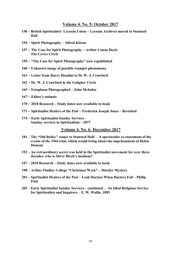#### **Volume 4. No. 5: October 2017**

- **– British Spiritualists' Lyceum Union – Lyceum Archives moved to Stansted Hall**
- **Spirit Photography – Alfred Kitson**
- **The Case for Spirit Photography – Arthur Conan Doyle The Crewe Circle**
- **"The Case for Spirit Photography" now republished**
- **Unknown image of possible trumpet phenomena**
- **Letter from Harry Houdini to Dr W. J. Crawford**
- **Dr. W. J. Crawford & the Goligher Circle**
- **Ectoplasm Photographed – John McIndoe**
- **Editor's endnote**
- **2018 Research – Study dates now available to book**
- **Spiritualist Healers of the Past – Frederick Joseph Jones – Revisited**
- **Early Spiritualist Sunday Services Sunday services in Spiritualism – 1877**

#### **Volume 4. No. 6: December 2017**

- **The "Old Bailey" comes to Stansted Hall: A spectacular re-enactment of the events of the 1944 trial, which would bring about the imprisonment of Helen Duncan**
- **– An extraordinary secret was held in the Spiritualist movement for over three decades: who is Silver Birch's medium?**
- **– 2018 Research – Study dates now available to book**
- **– Arthur Findlay College "Christmas Week" – Murder Mystery**
- **– Spiritualist Healers of the Past – Leah Doctors When Doctors Fail – Philip Paul**
- **Early Spiritualist Sunday Services – continued… An Ideal Religious Service for Spiritualists and Inquirers** – **E. W. Wallis, 1895**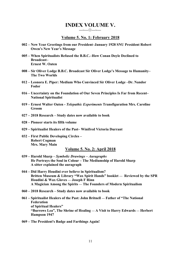## **INDEX VOLUME V.**

*—~—☼—~—*

#### **Volume 5. No. 1: February 2018**

- **002 – New Year Greetings from our President–January 1928 SNU President Robert Owen's New Year's Message**
- **005 – When Spiritualists Refused the B.B.C.–How Conan Doyle Declined to Broadcast– Ernest W. Oaten**
- **008 – Sir Oliver Lodge B.B.C. Broadcast Sir Oliver Lodge's Message to Humanity– The Two Worlds**
- **012 – Leonora E. Piper: Medium Who Convinced Sir Oliver Lodge –Dr. Nandor Fodor**
- **016 – Uncertainty on the Foundation of Our Seven Principles Is Far from Recent– National Spiritualist**
- **019 – Ernest Walter Oaten -** *Telepathic Experiments* **Transfiguration Mrs. Caroline Groom**
- **027 – 2018 Research – Study dates now available to book**
- **028 – Pioneer starts its fifth volume**
- **029 – Spiritualist Healers of the Past– Winifred Victoria Durrant**
- **032 – First Public Developing Circles – Robert Cogman Mrs. Mary Main**

#### **Volume 5. No. 2: April 2018**

- **039 – Harold Sharp** *– Symbolic Drawings – Auragraphs*  **He Portrays the Soul in Colour** *–* **The Mediumship of Harold Sharp A sitter explained the auragraph**
- **044 – Did Harry Houdini ever believe in Spiritualism? Britten Museum & Library "Wax Spirit Hands" booklet — Reviewed by the SPR Houdini & Wax Gloves — Joseph F Rinn A Magician Among the Spirits — The Founders of Modern Spiritualism**
- **060 – 2018 Research – Study dates now available to book**
- **061 – Spiritualist Healers of the Past: John Britnell — Father of "The National Federation of Spiritual Healers" "Burrows Lea", The Shrine of Healing — A Visit to Harry Edwards — Herbert Hampson 1947**
- **069 – The President's Badge and Farthings Again!**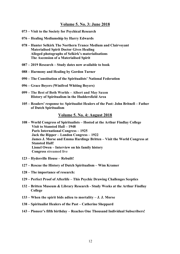#### **Volume 5. No. 3: June 2018**

- **073 – Visit to the Society for Psychical Research**
- **076 – Healing Mediumship by Harry Edwards**
- **078 – Hunter Selkirk The Northern Trance Medium and Clairvoyant Materialised Spirit Doctor Gives Healing Alleged photographs of Selkirk's materialisations The Ascension of a Materialised Spirit**
- **087 – 2019 Research – Study dates now available to book**
- **088 – Harmony and Healing by Gordon Turner**
- **090 – The Constitution of the Spiritualists' National Federation**
- **096 – Grace Boyers (Winifred Whiting Boyers)**
- **099 – The Best of Both Worlds – Albert and May Saxon History of Spiritualism in the Huddersfield Area**
- **105 – Readers' response to: Spiritualist Healers of the Past: John Britnell – Father of Dutch Spiritualism**

#### **Volume 5. No. 4: August 2018**

- **108 – World Congress of Spiritualists – Hosted at the Arthur Findlay College Visit to Stansted Hall – 1948 Paris International Congress – 1925 Jack the Ripper – London Congress – 1922 James J. Morse and Emma Hardinge Britten – Visit the World Congress at Stansted Hall! Lionel Owen – Interview on his family history Congress streamed live**
- **123 – Hydesville House – Rebuilt!**
- **127 – Rescue the History of Dutch Spiritualism – Wim Kramer**
- **128 – The importance of research:**
- **129 – Perfect Proof of Afterlife – This Psychic Drawing Challenges Sceptics**
- **132 – Britten Museum & Library Research - Study Weeks at the Arthur Findlay College**
- **133 – When the spirit bids adieu to mortality – J. J. Morse**
- **138 – Spiritualist Healers of the Past – Catherine Sheppard**
- **143 – Pioneer's fifth birthday – Reaches One Thousand Individual Subscribers!**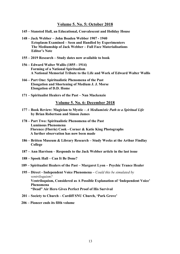#### **Volume 5. No. 5: October 2018**

- **145 – Stansted Hall, an Educational, Convalescent and Holiday House**
- **148 – Jack Webber – John Boaden Webber 1907 - 1940 Ectoplasm Examined – Seen and Handled by Experimenters The Mediumship of Jack Webber – Full Face Materialisations Editor's Note**
- **155 – 2019 Research – Study dates now available to book**
- **156 – Edward Walter Wallis (1855 - 1914) Forming of a National Spiritualism A National Memorial Tribute to the Life and Work of Edward Walter Wallis**
- **166 – Part One: Spiritualistic Phenomena of the Past Elongation and Shortening of Medium J. J. Morse Elongation of D.D. Home**
- **171 – Spiritualist Healers of the Past – Nan Mackenzie**

#### **Volume 5. No. 6: December 2018**

- **177 – Book Review: Magician to Mystic –** *A Mediumistic Path to a Spiritual Life*   **by Brian Robertson and Simon James**
- **178 – Part Two: Spiritualistic Phenomena of the Past Luminous Phenomena Florence (Florrie) Cook - Corner & Katie King Photographs A further observation has now been made**
- **186 – Britten Museum & Library Research – Study Weeks at the Arthur Findlay College**
- **187 – Ann Harrison – Responds to the Jack Webber article in the last issue**
- **188 – Spook Hall – Can It Be Done?**
- **189 – Spiritualist Healers of the Past – Margaret Lyon – Psychic Trance Healer**
- **195 – Direct - Independent Voice Phenomena –** *Could this be simulated by ventriloquism?*  **Ventriloquism, Considered as A Possible Explanation of 'Independent Voice' Phenomena "Dead" Air Hero Gives Perfect Proof of His Survival**
- **201 – Society to Church – Cardiff SNU Church, 'Park Grove'**
- **206 – Pioneer ends its fifth volume**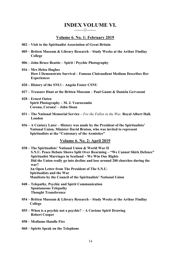## **INDEX VOLUME VI.**

#### **Volume 6. No. 1: February 2019**

*—~—☼—~—*

- **002 – Visit to the Spiritualist Association of Great Britain**
- **005 – Britten Museum & Library Research – Study Weeks at the Arthur Findlay College**
- **006 – John Bruce Beattie – Spirit / Psychic Photography**
- **016 – Mrs Helen Hughes How I Demonstrate Survival – Famous Clairaudient Medium Describes Her Experiences**
- **020 – History of the SNUi – Angela Foster CSNU**
- **027 – Treasure Hunt at the Britten Museum – Paul Gaunt & Daniela Gervasoni**
- **028 – Ernest Oaten Spirit Photography – M. J. Vearncombe Corona, Corona! – John Sloan**
- **031 – The National Memorial Service –** *For the Fallen in the War,* **Royal Albert Hall, London**
- **036 – A Century Later – History was made by the President of the Spiritualists' National Union, Minister David Bruton, who was invited to represent Spiritualists at the "Centenary of the Armistice"**

#### **Volume 6. No. 2: April 2019**

- **038 – The Spiritualists' National Union & World War II S.N.U. Peace Debate Shows Split Over Rearming – "We Cannot Shirk Defence" Spiritualist Marriages in Scotland – We Win Our Rights Did the Union really go into decline and lose around 200 churches during the war? An Open Letter from The President of The S.N.U. Spiritualists and the War Manifesto by the Council of the Spiritualists' National Union**
- **048 – Telepathy, Psychic and Spirit Communication Spontaneous Telepathy Thought Transference**
- **054 – Britten Museum & Library Research – Study Weeks at the Arthur Findlay College**
- **055 – When is a psychic not a psychic? – A Curious Spirit Drawing Robert Cooper**
- **058 – Mediums Handle Fire**
- **060 – Spirits Speak on the Telephone**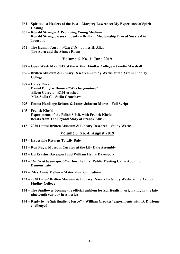- **062 – Spiritualist Healers of the Past – Margery Lawrence: My Experience of Spirit Healing**
- **065 – Ronald Strong – A Promising Young Medium Ronald Strong passes suddenly – Brilliant Mediumship Proved Survival to Thousand**
- **071 – The Human Aura –** *What It Is* **– James H. Allen The Aura and the Séance Room**

**Volume 6. No. 3: June 2019**

- **077 – Open Week May 2019 at the Arthur Findlay College – Janette Marshall**
- **086 – Britten Museum & Library Research – Study Weeks at the Arthur Findlay College**
- **087 – Harry Price Daniel Dunglas Home – "Was he genuine?" Eileen Garrett—R101 crashed Miss Stella C—Stella Cranshaw**
- **095 – Emma Hardinge Britten & James Johnson Morse – Full Script**
- **105 – Franek Kluski Experiments of the Polish S.P.R. with Franek Kluski Beasts from The Beyond Story of Franek Kluski**
- **115 – 2020 Dates! Britten Museum & Library Research – Study Weeks**

**Volume 6. No. 4: August 2019**

- **117 – Hydesville Returns To Lily Dale**
- **121 – Ron Nagy, Museum Curator at the Lily Dale Assembly**
- **122 – Ira Erastus Davenport and William Henry Davenport**
- **123 – "***Ordered by the spirits***" – How the First Public Meeting Came About to Demonstrate**
- **127 – Mrs Annie Mellon – Materialisation medium**
- **133 – 2020 Dates! Britten Museum & Library Research – Study Weeks at the Arthur Findlay College**
- **134 – The Sunflower became the official emblem for Spiritualism, originating in the late nineteenth century in America**
- **144 – Reply to "A Spiritualistic Farce" – William Crookes**' **experiments with D. D. Home challenged**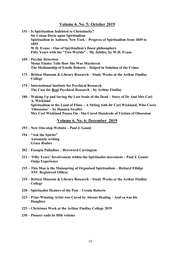#### **Volume 6. No. 5: October 2019**

|  | 151 – Is Spiritualism Indebted to Christianity?<br><b>Sir Conan Doyle upon Spiritualism</b>                                                                                                                                                                                                      |
|--|--------------------------------------------------------------------------------------------------------------------------------------------------------------------------------------------------------------------------------------------------------------------------------------------------|
|  | Spiritualism in Auburn, New York - Progress of Spiritualism from 1849 to<br>1855                                                                                                                                                                                                                 |
|  | W.H. Evans - One of Spiritualism's finest philosophers<br>Fifty Years with the "Two Worlds" - My Jubilee, by W.H. Evans                                                                                                                                                                          |
|  | 169 – Psychic Detection<br><b>Mona Tinsley Tells How She Was Murdered</b><br>The Mediumship of Estelle Roberts - Helped in Solution of the Crime                                                                                                                                                 |
|  | 173 – Britten Museum & Library Research – Study Weeks at the Arthur Findlay<br>College                                                                                                                                                                                                           |
|  | 174 – International Institute for Psychical Research<br>The Case for Real Psychical Research – by Arthur Findlay                                                                                                                                                                                 |
|  | 180 – Waking Up and Saving the Lost Souls of the Dead – Story of Dr And Mrs Carl<br>A. Wickland<br>Spiritualism in the Land of Films - A Sitting with Dr Carl Wickland, Who Cures<br>'Obsession' – by Hannen Swaffer<br>Mrs Carl Wickland Passes On - She Cured Hundreds of Victims of Obsession |
|  | Volume 6. No. 6: December 2019                                                                                                                                                                                                                                                                   |
|  | 193 – New One-stop Website – Paul J. Gaunt                                                                                                                                                                                                                                                       |
|  | 194 – "Ask the Spirits"<br>Automotic writing                                                                                                                                                                                                                                                     |

 **Automatic writing Grace Rosher**

- **202 – Eusapia Palladino – Hereward Carrington**
- **211 – 'Fifty Years' Involvement within the Spiritualist movement – Paul J. Gaunt Ouija Experience**
- **215 – This Man is the Mainspring of Organised Spiritualism – Richard Ellidge SNU Registered Offices**
- **219 – Britten Museum & Library Research – Study Weeks at the Arthur Findlay College**
- **220 – Spiritualist Healers of the Past – Ursula Roberts**
- **223 – Prize-Winning Artist was Cured by Absent Healing – And so was his Daughter**
- **225 – Christmas Week at the Arthur Findlay College 2019**
- **230 – Pioneer ends its fifth volume**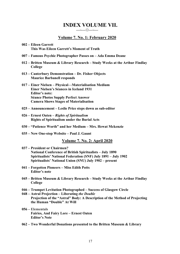## **INDEX VOLUME VII.**

#### **Volume 7. No. 1: February 2020**

*—~—☼—~—*

- **002 – Eileen Garrett This Was Eileen Garrett's Moment of Truth**
- **007 – Famous Psychic Photographer Passes on – Ada Emma Deane**
- **012 – Britten Museum & Library Research – Study Weeks at the Arthur Findlay College**
- **013 – Canterbury Demonstration – Dr. Fisher Objects Maurice Barbanell responds**
- **017 – Einer Nielsen – Physical—Materialisation Medium Einer Nielsen's Séances in Iceland 1931 Editor's note: Séance Photos Supply Perfect Answer Camera Shows Stages of Materialisation**
- **025 – Announcement – Leslie Price steps down as sub-editor**
- **026 – Ernest Oaten –** *Rights of Spiritualism*  **Rights of Spiritualism under the Burial Acts**
- **030 – "Patience Worth" and her Medium – Mrs. Hewat Mckenzie**
- **035 – New One-stop Website – Paul J. Gaunt**

#### **Volume 7. No. 2: April 2020**

- **037 – President or Chairmen? National Conference of British Spiritualists – July 1890 Spiritualists' National Federation (SNF) July 1891 – July 1902 Spiritualists' National Union (SNU) July 1902 – present**
- **041 – Forgotten Pioneers – Miss Edith Potts Editor's note**
- **045 – Britten Museum & Library Research – Study Weeks at the Arthur Findlay College**
- **046 – Trumpet Levitation Photographed – Success of Glasgow Circle**
- **048 – Astral Projection – Liberating** *the Double*  **Projection of the "Astral" Body: A Description of the Method of Projecting the Human "Double" At Will**
- **056 – Elementals Fairies, And Fairy Lore – Ernest Oaten Editor's Note**
- **062 – Two Wonderful Donations presented to the Britten Museum & Library**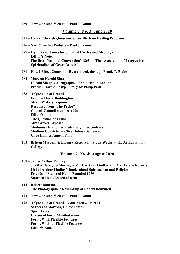**069 – New One-stop Website – Paul J. Gaunt**

#### **Volume 7. No. 3: June 2020**

- **071 – Harry Edwards Questions Silver Birch on Healing Problems**
- **076 – New One-stop Website – Paul J. Gaunt**
- **077 – Hymns and Tunes for Spiritual Circles and Meetings Editor's Note: The first 'National Convention' 1865 – "The Association of Progressive Spiritualists of Great Britain"**
- **081 – How I Effect Control By a control, through Frank T. Blake**
- **084 – More on Harold Sharp Harold Sharp's Auragraphs – Exhibition in London Profile - Harold Sharp – Story by Philip Paul**

**088 – A Question of Fraud! Fraud – Harry Boddington Mrs E Wakely response Response from "The Probe" Church Council member adds Editor's note The Question of Fraud Mrs Grover Exposed Mediums** *claim* **other mediums guides/controls Medium Convicted – Clive Holmes Sentenced Clive Holmes Appeal Fails**

**105 – Britten Museum & Library Research – Study Weeks at the Arthur Findlay College**

#### **Volume 7. No. 4: August 2020**

**107 – James Arthur Findlay 3,000 At Glasgow Meeting – Mr J. Arthur Findlay and Mrs Estelle Roberts List of Arthur Findlay's books about Spiritualism and Religion Friends of Stansted Hall – Founded 1969 Stansted Hall Cleared of Debt**

- **114 – Robert Boursnell The Photographic Mediumship of Robert Boursnell**
- **122 – New One-stop Website – Paul J. Gaunt**

#### **123 – A Question of Fraud! – Continued … Part II Seances at Moravia, United States Spirit Faces Classes of Form Manifestations Forms With Flexible Features Forms Without Flexible Features Editor's Note**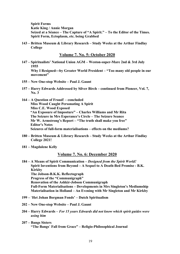**Spirit Forms Katie King / Annie Morgan Seized at a Séance – The Capture of "A Spirit." – To the Editor of the Times. Spirit Form, Ectoplasm, etc. being Grabbed**

**143 – Britten Museum & Library Research – Study Weeks at the Arthur Findlay College**

**Volume 7. No. 5: October 2020**

- **147 – Spiritualists' National Union AGM – Weston-super-Mare 2nd & 3rd July 1955 Why I Resigned**¾**by Greater World President – "Too many old people in our movement"**
- **155 – New One-stop Website – Paul J. Gaunt**
- **157 – Harry Edwards Addressed by Silver Birch – continued from Pioneer, Vol. 7, No. 3**
- **164 – A Question of Fraud! – concluded Miss Wood Caught Personating A Spirit Miss C.E. Wood Exposed "An Exposure of Imposture" – Charles Williams and Mr Rita The Seizure in Mrs Esperance's Circle – The Seizure Seance Mr W. Armstrong's Report – "The truth shall make you free" Editor's Notes Seizures of full-form materialisations – effects on the mediums?**
- **180 – Britten Museum & Library Research – Study Weeks at the Arthur Findlay College 2021!**
- **181 – Magdalene Kelly**

#### **Volume 7. No. 6: December 2020**

**184 – A Means of Spirit Communication –** *Designed from the Spirit World!*   **Spirit Inventions from Beyond – A Sequel to A Death-Bed Promise - B.K. Kirkby The Jobson-B.K.K. Reflectograph Progress of the "Communigraph" Renovation of the Ashkir-Jobson Communigraph Full-Form Materialisations – Developments in Mrs Singleton's Mediumship Materialisation in Holland – An Evening with Mr Singleton and Mr Kirkby**

- **199 –** '**Het Johan Borgman Fonds' – Dutch Spiritualism**
- **202 – New One-stop Website – Paul J. Gaunt**
- **204 – Harry Edwards –** *For 15 years Edwards did not know which spirit guides were using him*
- **207 – Bangs Sisters "The Bangs**' **Fall from Grace" – Religio-Philosophical Journal**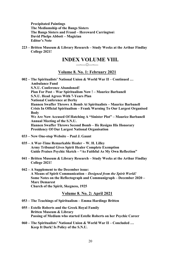**Precipitated Paintings The Mediumship of the Bangs Sisters The Bangs Sisters and Fraud – Hereward Carrington\ David Phelps Abbott – Magician Editor's Note**

**223 – Britten Museum & Library Research – Study Weeks at the Arthur Findlay College 2021!**

## **INDEX VOLUME VIII.**

### *—~—☼—~—*

#### **Volume 8. No. 1: February 2021**

**002 – The Spiritualists' National Union & World War II – Continued … Ambulance Fund S.N.U. Conference Abandoned! Plan For Post – War Spiritualism Now ! – Maurice Barbanell S.N.U. Head Agrees With 7-Years Plan National Conference at Derby Hannen Swaffer Throws A Bomb At Spiritualists – Maurice Barbanell Crisis In Official Spiritualism – Frank Warning To Our Largest Organised Body We Are Now Accused Of Hatching A "Sinister Plot" – Maurice Barbanell Annual Meeting of the S.N.U. Hannen Swaffer Throws Second Bomb – He Resigns His Honorary Presidency Of Our Largest National Organisation**

- **033 – New One-stop Website – Paul J. Gaunt**
- **035 – A War-Time Remarkable Healer – W. H. Lilley Army Tribunal Gives Spirit Healer Complete Exemption Guide Praises Psychic Sketch – "As Faithful As My Own Reflection"**
- **041 – Britten Museum & Library Research – Study Weeks at the Arthur Findlay College 2021!**
- **042 – A Supplement to the December issue: A Means of Spirit Communication –** *Designed from the Spirit World!*   **Some Notes on the Reflectograph and Communigraph – December 2020 – Marc Demarest Church of the Spirit, Skegness, 1925**

#### **Volume 8. No. 2: April 2021**

- **053 – The Teachings of Spiritualism – Emma Hardinge Britten**
- **055 – Estelle Roberts and the Greek Royal Family Britten Museum & Library Passing of Medium who started Estelle Roberts on her Psychic Career**
- **060 – The Spiritualists' National Union & World War II – Concluded … Keep It Dark! Is Policy of the S.N.U.**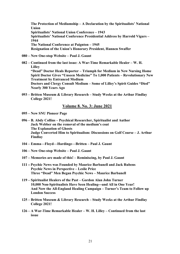**The Protection of Mediumship – A Declaration by the Spiritualists' National Union Spiritualists' National Union Conference – 1943 Spiritualists' National Conference Presidential Address by Harrold Vigurs – 1944 The National Conference at Paignton – 1945 Resignation of the Union's Honorary President, Hannen Swaffer**

- **080 – New One-stop Website – Paul J. Gaunt**
- **082 – Continued from the last issue: A War-Time Remarkable Healer – W. H. Lilley "Dead" Doctor Heals Reporter – Triumph for Medium in New Nursing Home Spirit Doctor Gives "Unseen Medicine" To 1,000 Patients – Revolutionary New Treatment by Entranced Medium Doctors and Clergy Consult Medium – Some of Lilley's Spirit Guides "Died" Nearly 300 Years Ago**
- **093 – Britten Museum & Library Research – Study Weeks at the Arthur Findlay College 2021!**

#### **Volume 8. No. 3: June 2021**

**095 – New SNU Pioneer Page**

- **096 – B. Abdy Collins – Psychical Researcher, Spiritualist and Author Jack Webber on the removal of the medium's coat The Explanation of Ghosts Judge Converted Him to Spiritualism: Discussions on Golf Course – J. Arthur Findlay**
- **104 – Emma—Floyd—Hardinge—Britten – Paul J. Gaunt**
- **106 – New One-stop Website – Paul J. Gaunt**
- **107 – Memories are made of this! – Reminiscing, by Paul J. Gaunt**
- **111 – Psychic News was Founded by Maurice Barbanell and Jack Rubens Psychic News in Perspective – Leslie Price Three "Dead" Men Began Psychic News – Maurice Barbanell**
- **119 – Spiritualist Healers of the Past – Gordon Alan John Turner** 10,000 Non-Spiritualists Have Seen Healing—and All in One Year!  **And Now the All-England Healing Campaign – Turner's Team to Follow up London Success**
- **125 – Britten Museum & Library Research – Study Weeks at the Arthur Findlay College 2021!**
- **126 – A War-Time Remarkable Healer – W. H. Lilley – Continued from the last issue**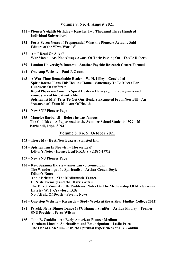#### **Volume 8. No. 4: August 2021**

- **131 – Pioneer's eighth birthday – Reaches Two Thousand Three Hundred Individual Subscribers!**
- **132 – Forty-Seven Years of Propaganda! What the Pioneers Actually Said Editors of the "Two Worlds"**
- **137 – Am I Dead Or Alive? War "Dead" Are Not Always Aware Of Their Passing On – Estelle Roberts**
- **139 – London University's Interest – Another Psychic Research Centre Formed**
- **142 – One-stop Website – Paul J. Gaunt**
- **143 – A War-Time Remarkable Healer – W. H. Lilley – Concluded Spirit Doctor Plans This Healing Home – Sanctuary To Be Mecca For Hundreds Of Sufferers Royal Physician Consults Spirit Healer – He says guide's diagnosis and remedy saved his patient's life Spiritualist M.P. Tries To Get Our Healers Exempted From New Bill – An "Assurance" From Minister Of Health**
- **154 – New SNU Pioneer Page**
- **155 – Maurice Barbanell – Before he was famous The God Idea – A Paper read to the Summer School Students 1929 – M. Barbanell, Dipl., S.N.U.**

**Volume 8. No. 5: October 2021**

- **163 – There May Be A New Buzz At Stansted Hall!**
- **164 – Spiritualism In Norwich – Horace Leaf Editor's Note: - Horace Leaf F.R.G.S. (c1886-1971)**
- **169 – New SNU Pioneer Page**
- **170 – Rev. Susanna Harris – American voice-medium The Wanderings of a Spiritualist – Arthur Conan Doyle Editor's Note: Annie Brittain – 'The Mediumistic Trance' H. N. de Fremery and the 'Harris Affair' The Direct Voice And Its Problems: Notes On The Mediumship Of Mrs Susanna Harris - W. J. Crawford, D.Sc. Not Afraid Of Death – Psychic News**
- **180 – One-stop Website – Research – Study Weeks at the Arthur Findlay College 2022!**
- **181 – Psychic News Dinner Dance 1957: Hannen Swaffer – Arthur Findlay – Former SNU President Percy Wilson**
- **185 – John B. Conklin – An Early American Pioneer Medium Abraham Lincoln, Spiritualism and Emancipation – Leslie Price The Life of a Medium – Or, the Spiritual Experiences of J.B. Conklin**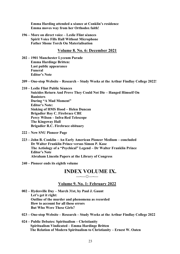**Emma Harding attended a séance at Conklin's residence Emma moves way from her Orthodox faith!**

**196 – More on direct voice – Leslie Flint séances Spirit Voice Fills Hall Without Microphone Father Shone Torch On Materialisation**

#### **Volume 8. No. 6: December 2021**

- **202 – 1901 Manchester Lyceum Parade Emma Hardinge Britten: Last public appearance Funeral Editor's Note**
- **209 – One-stop Website – Research – Study Weeks at the Arthur Findlay College 2022!**

**210 – Leslie Flint Public Séances Suicides Return And Prove They Could Not Die – Hanged Himself On Banisters During "A Mad Moment" Editor's Note: Sinking of HMS Hood – Helen Duncan Brigadier Roy C. Firebrace CBE Percy Wilson – Infra-Red Telescope The Kingsway Hall Brigadier R.C. Firebrace obituary**

**222 – New SNU Pioneer Page**

**223 – John B. Conklin – An Early American Pioneer Medium – concluded Dr Walter Franklin Prince versus Simon P. Kase The Aetiology of a "Psychical" Legend – Dr Walter Franklin Prince Editor's Note Abraham Lincoln Papers at the Library of Congress**

**240 – Pioneer ends its eighth volume**

#### **INDEX VOLUME IX.** *—~—☼—~—*

#### **Volume 9. No. 1: February 2022**

- **002 – Hydesville Day – March 31st, by Paul J. Gaunt Let's get it right: Outline of the murder and phenomena as recorded How to account for all these errors But Who Were These Girls?**
- **023 – One-stop Website – Research – Study Weeks at the Arthur Findlay College 2022**
- **024 – Public Debates: Spiritualism – Christianity Spiritualism Vindicated – Emma Hardinge Britten The Relation of Modern Spiritualism to Christianity – Ernest W. Oaten**